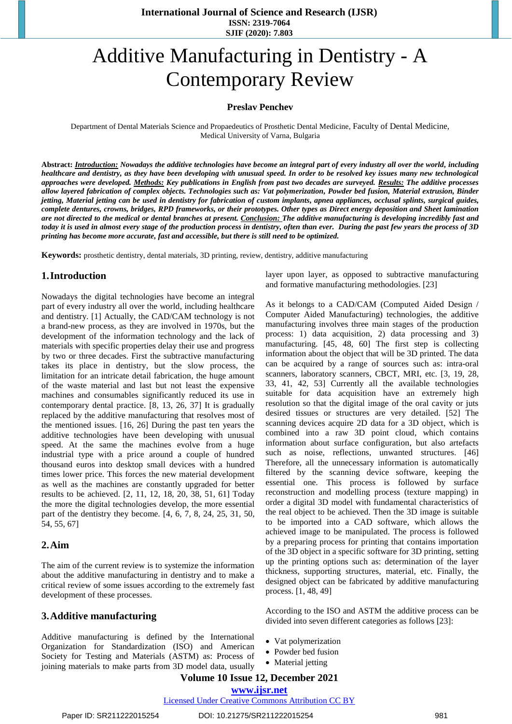# Additive Manufacturing in Dentistry - A Contemporary Review

#### **Preslav Penchev**

Department of Dental Materials Science and Propaedeutics of Prosthetic Dental Medicine, Faculty of Dental Medicine, Medical University of Varna, Bulgaria

**Abstract:** *Introduction: Nowadays the additive technologies have become an integral part of every industry all over the world, including healthcare and dentistry, as they have been developing with unusual speed. In order to be resolved key issues many new technological approaches were developed. Methods: Key publications in English from past two decades are surveyed. Results: The additive processes allow layered fabrication of complex objects. Technologies such as: Vat polymerization, Powder bed fusion, Material extrusion, Binder jetting, Material jetting can be used in dentistry for fabrication of custom implants, apnea appliances, occlusal splints, surgical guides, complete dentures, crowns, bridges, RPD frameworks, or their prototypes. Other types as Direct energy deposition and Sheet lamination are not directed to the medical or dental branches at present. Conclusion: The additive manufacturing is developing incredibly fast and today it is used in almost every stage of the production process in dentistry, often than ever. During the past few years the process of 3D printing has become more accurate, fast and accessible, but there is still need to be optimized.*

**Keywords:** prosthetic dentistry, dental materials, 3D printing, review, dentistry, additive manufacturing

#### **1.Introduction**

Nowadays the digital technologies have become an integral part of every industry all over the world, including healthcare and dentistry. [1] Actually, the CAD/CAM technology is not a brand-new process, as they are involved in 1970s, but the development of the information technology and the lack of materials with specific properties delay their use and progress by two or three decades. First the subtractive manufacturing takes its place in dentistry, but the slow process, the limitation for an intricate detail fabrication, the huge amount of the waste material and last but not least the expensive machines and consumables significantly reduced its use in contemporary dental practice. [8, 13, 26, 37] It is gradually replaced by the additive manufacturing that resolves most of the mentioned issues. [16, 26] During the past ten years the additive technologies have been developing with unusual speed. At the same the machines evolve from a huge industrial type with a price around a couple of hundred thousand euros into desktop small devices with a hundred times lower price. This forces the new material development as well as the machines are constantly upgraded for better results to be achieved. [2, 11, 12, 18, 20, 38, 51, 61] Today the more the digital technologies develop, the more essential part of the dentistry they become. [4, 6, 7, 8, 24, 25, 31, 50, 54, 55, 67]

#### **2.Aim**

The aim of the current review is to systemize the information about the additive manufacturing in dentistry and to make a critical review of some issues according to the extremely fast development of these processes.

#### **3.Additive manufacturing**

Additive manufacturing is defined by the International Organization for Standardization (ISO) and American Society for Testing and Materials (ASTM) as: Process of joining materials to make parts from 3D model data, usually layer upon layer, as opposed to subtractive manufacturing and formative manufacturing methodologies. [23]

As it belongs to a CAD/CAM (Computed Aided Design / Computer Aided Manufacturing) technologies, the additive manufacturing involves three main stages of the production process: 1) data acquisition, 2) data processing and 3) manufacturing. [45, 48, 60] The first step is collecting information about the object that will be 3D printed. The data can be acquired by a range of sources such as: intra-oral scanners, laboratory scanners, CBCT, MRI, etc. [3, 19, 28, 33, 41, 42, 53] Currently all the available technologies suitable for data acquisition have аn extremely high resolution so that the digital image of the oral cavity or juts desired tissues or structures are very detailed. [52] The scanning devices acquire 2D data for a 3D object, which is combined into a raw 3D point cloud, which contains information about surface configuration, but also artefacts such as noise, reflections, unwanted structures. [46] Therefore, all the unnecessary information is automatically filtered by the scanning device software, keeping the essential one. This process is followed by surface reconstruction and modelling process (texture mapping) in order a digital 3D model with fundamental characteristics of the real object to be achieved. Then the 3D image is suitable to be imported into a CAD software, which allows the achieved image to be manipulated. The process is followed by a preparing process for printing that contains importation of the 3D object in a specific software for 3D printing, setting up the printing options such as: determination of the layer thickness, supporting structures, material, etc. Finally, the designed object can be fabricated by additive manufacturing process. [1, 48, 49]

According to the ISO and ASTM the additive process can be divided into seven different categories as follows [23]:

- Vat polymerization
- Powder bed fusion
- Material jetting

## **Volume 10 Issue 12, December 2021**

## **www.ijsr.net**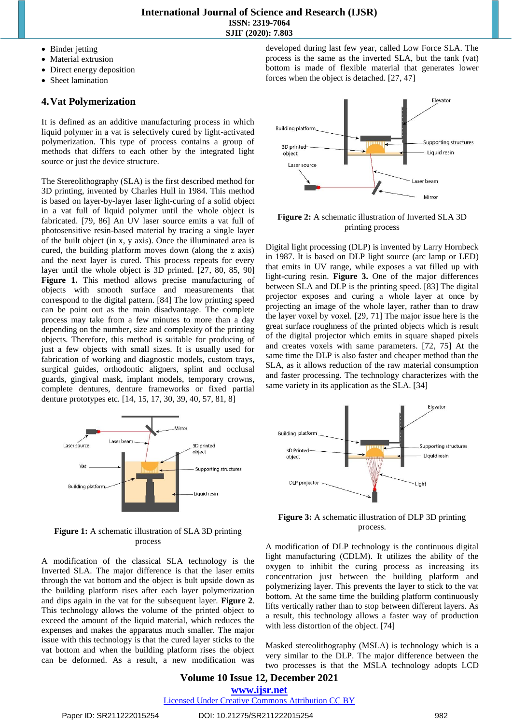- Binder jetting
- Material extrusion
- Direct energy deposition
- Sheet lamination

## **4.Vat Polymerization**

It is defined as an additive manufacturing process in which liquid polymer in a vat is selectively cured by light-activated polymerization. This type of process contains a group of methods that differs to each other by the integrated light source or just the device structure.

The Stereolithography (SLA) is the first described method for 3D printing, invented by Charles Hull in 1984. This method is based on layer-by-layer laser light-curing of a solid object in a vat full of liquid polymer until the whole object is fabricated. [79, 86] An UV laser source emits a vat full of photosensitive resin-based material by tracing a single layer of the built object (in x, y axis). Once the illuminated area is cured, the building platform moves down (along the z axis) and the next layer is cured. This process repeats for every layer until the whole object is 3D printed. [27, 80, 85, 90] Figure 1. This method allows precise manufacturing of objects with smooth surface and measurements that correspond to the digital pattern. [84] The low printing speed can be point out as the main disadvantage. The complete process may take from a few minutes to more than a day depending on the number, size and complexity of the printing objects. Therefore, this method is suitable for producing of just а few objects with small sizes. It is usually used for fabrication of working and diagnostic models, custom trays, surgical guides, orthodontic aligners, splint and occlusal guards, gingival mask, implant models, temporary crowns, complete dentures, denture frameworks or fixed partial denture prototypes etc. [14, 15, 17, 30, 39, 40, 57, 81, 8]



**Figure 1:** A schematic illustration of SLA 3D printing process

A modification of the classical SLA technology is the Inverted SLA. Тhe major difference is that the laser emits through the vat bottom and the object is bult upside down as the building platform rises after each layer polymerization and dips again in the vat for the subsequent layer. **Figure 2**. This technology allows the volume of the printed object to exceed the amount of the liquid material, which reduces the expenses and makes the apparatus much smaller. The major issue with this technology is that the cured layer sticks to the vat bottom and when the building platform rises the object can be deformed. As a result, a new modification was

developed during last few year, called Low Force SLA. The process is the same as the inverted SLA, but the tank (vat) bottom is made of flexible material that generates lower forces when the object is detached. [27, 47]



**Figure 2:** A schematic illustration of Inverted SLA 3D printing process

Digital light processing (DLP) is invented by Larry Hornbeck in 1987. It is based on DLP light source (arc lamp or LED) that emits in UV range, while exposes a vat filled up with light-curing resin. **Figure 3.** One of the major differences between SLA and DLP is the printing speed. [83] The digital projector exposes and curing а whole layer at once by projecting an image of the whole layer, rather than to draw the layer voxel by voxel. [29, 71] The major issue here is the great surface roughness of the printed objects which is result of the digital projector which emits in square shaped pixels and creates voxels with same parameters. [72, 75] At the same time the DLP is also faster and cheaper method than the SLA, as it allows reduction of the raw material consumption and faster processing. The technology characterizes with the same variety in its application as the SLA. [34]



**Figure 3:** A schematic illustration of DLP 3D printing process.

A modification of DLP technology is the continuous digital light manufacturing (CDLM). It utilizes the ability of the oxygen to inhibit the curing process as increasing its concentration just between the building platform and polymerizing layer. This prevents the layer to stick to the vat bottom. At the same time the building platform continuously lifts vertically rather than to stop between different layers. As a result, this technology allows a faster way of production with less distortion of the object. [74]

Masked stereolithography (MSLA) is technology which is a very similar to the DLP. The major difference between the two processes is that the MSLA technology adopts LCD

## **Volume 10 Issue 12, December 2021**

**www.ijsr.net**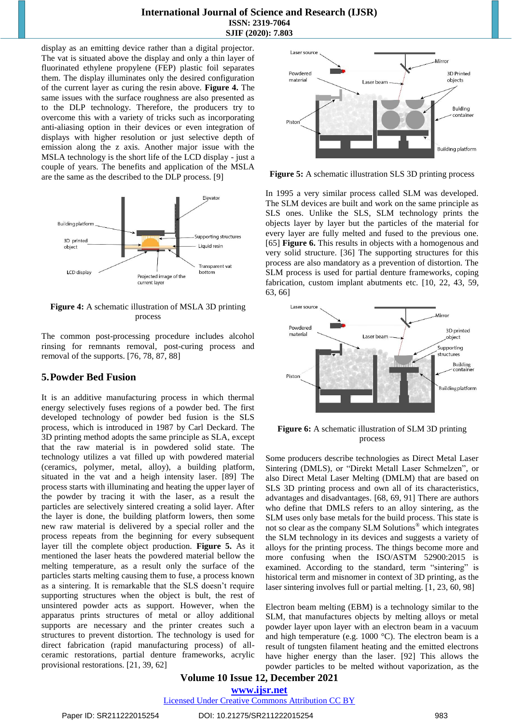display as an emitting device rather than a digital projector. The vat is situated above the display and only a thin layer of fluorinated ethylene propylene (FEP) plastic foil separates them. The display illuminates only the desired configuration of the current layer as curing the resin above. **Figure 4.** The same issues with the surface roughness are also presented as to the DLP technology. Therefore, the producers try to overcome this with a variety of tricks such as incorporating anti-aliasing option in their devices or even integration of displays with higher resolution or just selective depth of emission along the z axis. Another major issue with the MSLA technology is the short life of the LCD display - just a couple of years. The benefits and application of the MSLA are the same as the described to the DLP process. [9]



**Figure 4:** A schematic illustration of MSLA 3D printing process

The common post-processing procedure includes alcohol rinsing for remnants removal, post-curing process and removal of the supports. [76, 78, 87, 88]

## **5.Powder Bed Fusion**

It is an additive manufacturing process in which thermal energy selectively fuses regions of a powder bed. The first developed technology of powder bed fusion is the SLS process, which is introduced in 1987 by Carl Deckard. The 3D printing method adopts the same principle as SLA, except that the raw material is in powdered solid state. The technology utilizes a vat filled up with powdered material (ceramics, polymer, metal, alloy), a building platform, situated in the vat and a heigh intensity laser. [89] The process starts with illuminating and heating the upper layer of the powder by tracing it with the laser, as a result the particles are selectively sintered creating a solid layer. After the layer is done, the building platform lowers, then some new raw material is delivered by a special roller and the process repeats from the beginning for every subsequent layer till the complete object production. **Figure 5.** As it mentioned the laser heats the powdered material bellow the melting temperature, as a result only the surface of the particles starts melting causing them to fuse, a process known as a sintering. It is remarkable that the SLS doesn't require supporting structures when the object is bult, the rest of unsintered powder acts as support. However, when the apparatus prints structures of metal or alloy additional supports are necessary and the printer creates such a structures to prevent distortion. The technology is used for direct fabrication (rapid manufacturing process) of allceramic restorations, partial denture frameworks, acrylic provisional restorations. [21, 39, 62]



**Figure 5:** A schematic illustration SLS 3D printing process

In 1995 a very similar process called SLM was developed. The SLM devices are built and work on the same principle as SLS ones. Unlike the SLS, SLM technology prints the objects layer by layer but the particles of the material for every layer are fully melted and fused to the previous one. [65] **Figure 6.** This results in objects with a homogenous and very solid structure. [36] The supporting structures for this process are also mandatory as a prevention of distortion. The SLM process is used for partial denture frameworks, coping fabrication, custom implant abutments etc. [10, 22, 43, 59, 63, 66]



**Figure 6:** A schematic illustration of SLM 3D printing process

Some producers describe technologies as Direct Metal Laser Sintering (DMLS), or "Direkt Metall Laser Schmelzen", or also Direct Metal Laser Melting (DMLM) that are based on SLS 3D printing process and own all of its characteristics, advantages and disadvantages. [68, 69, 91] There are authors who define that DMLS refers to an alloy sintering, as the SLM uses only base metals for the build process. This state is not so clear as the company SLM Solutions® which integrates the SLM technology in its devices and suggests a variety of alloys for the printing process. The things become more and more confusing when the ISO/ASTM 52900:2015 is examined. According to the standard, term "sintering" is historical term and misnomer in context of 3D printing, as the laser sintering involves full or partial melting. [1, 23, 60, 98]

Electron beam melting (EBM) is a technology similar to the SLM, that manufactures objects by melting alloys or metal powder layer upon layer with an electron beam in a vacuum and high temperature (e.g. 1000 °C). The electron beam is a result of tungsten filament heating and the emitted electrons have higher energy than the laser. [92] This allows the powder particles to be melted without vaporization, as the

## **Volume 10 Issue 12, December 2021**

**www.ijsr.net**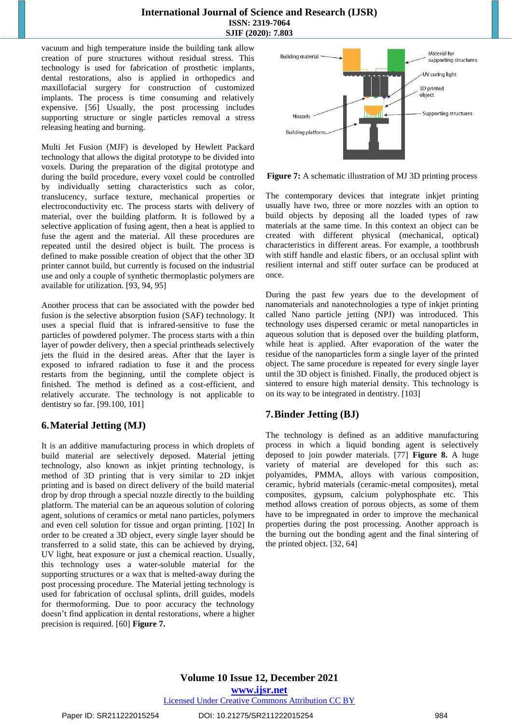vacuum and high temperature inside the building tank allow creation of pure structures without residual stress. This technology is used for fabrication of prosthetic implants, dental restorations, also is applied in orthopedics and maxillofacial surgery for construction of customized implants. The process is time consuming and relatively expensive. [56] Usually, the post processing includes supporting structure or single particles removal a stress releasing heating and burning.

Multi Jet Fusion (MJF) is developed by Hewlett Packard technology that allows the digital prototype to be divided into voxels. During the preparation of the digital prototype and during the build procedure, every voxel could be controlled by individually setting characteristics such as color, translucency, surface texture, mechanical properties or electroconductivity etc. The process starts with delivery of material, over the building platform. It is followed by a selective application of fusing agent, then a heat is applied to fuse the agent and the material. All these procedures are repeated until the desired object is built. The process is defined to make possible creation of object that the other 3D printer cannot build, but currently is focused on the industrial use and only a couple of synthetic thermoplastic polymers are available for utilization. [93, 94, 95]

Another process that can be associated with the powder bed fusion is the selective absorption fusion (SAF) technology. It uses a special fluid that is infrared-sensitive to fuse the particles of powdered polymer. The process starts with a thin layer of powder delivery, then a special printheads selectively jets the fluid in the desired areas. After that the layer is exposed to infrared radiation to fuse it and the process restarts from the beginning, until the complete object is finished. The method is defined as a cost-efficient, and relatively accurate. The technology is not applicable to dentistry so far. [99.100, 101]

## **6.Material Jetting (MJ)**

It is an additive manufacturing process in which droplets of build material are selectively deposed. Material jetting technology, also known as inkjet printing technology, is method of 3D printing that is very similar to 2D inkjet printing and is based on direct delivery of the build material drop by drop through a special nozzle directly to the building platform. The material can be an aqueous solution of coloring agent, solutions of ceramics or metal nano particles, polymers and even cell solution for tissue and organ printing. [102] In order to be created a 3D object, every single layer should be transferred to a solid state, this can be achieved by drying, UV light, heat exposure or just a chemical reaction. Usually, this technology uses a water-soluble material for the supporting structures or a wax that is melted-away during the post processing procedure. The Material jetting technology is used for fabrication of occlusal splints, drill guides, models for thermoforming. Due to poor accuracy the technology doesn't find application in dental restorations, where a higher precision is required. [60] **Figure 7.**



**Figure 7:** A schematic illustration of MJ 3D printing process

The contemporary devices that integrate inkjet printing usually have two, three or more nozzles with an option to build objects by deposing all the loaded types of raw materials at the same time. In this context an object can be created with different physical (mechanical, optical) characteristics in different areas. For example, a toothbrush with stiff handle and elastic fibers, or an occlusal splint with resilient internal and stiff outer surface can be produced at once.

During the past few years due to the development of nanomaterials and nanotechnologies а type of inkjet printing called Nano particle jetting (NPJ) was introduced. This technology uses dispersed ceramic or metal nanoparticles in aqueous solution that is deposed over the building platform, while heat is applied. After evaporation of the water the residue of the nanoparticles form a single layer of the printed object. The same procedure is repeated for every single layer until the 3D object is finished. Finally, the produced object is sintered to ensure high material density. This technology is on its way to be integrated in dentistry. [103]

## **7.Binder Jetting (BJ)**

The technology is defined as an additive manufacturing process in which a liquid bonding agent is selectively deposed to join powder materials. [77] **Figure 8.** A huge variety of material are developed for this such as: polyamides, PMMA, alloys with various composition, ceramic, hybrid materials (ceramic-metal composites), metal composites, gypsum, calcium polyphosphate etc. This method allows creation of porous objects, as some of them have to be impregnated in order to improve the mechanical properties during the post processing. Another approach is the burning out the bonding agent and the final sintering of the printed object. [32, 64]

## Paper ID: SR211222015254 DOI: 10.21275/SR211222015254 984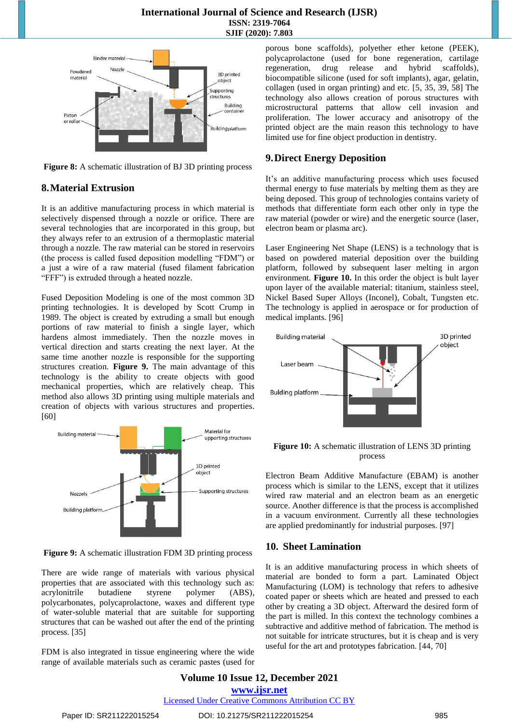

**Figure 8:** A schematic illustration of BJ 3D printing process

## **8.Material Extrusion**

It is an additive manufacturing process in which material is selectively dispensed through a nozzle or orifice. There are several technologies that are incorporated in this group, but they always refer to an extrusion of a thermoplastic material through a nozzle. The raw material can be stored in reservoirs (the process is called fused deposition modelling "FDM") or a just a wire of a raw material (fused filament fabrication "FFF") is extruded through a heated nozzle.

Fused Deposition Modeling is one of the most common 3D printing technologies. It is developed by Scott Crump in 1989. The object is created by extruding a small but enough portions of raw material to finish a single layer, which hardens almost immediately. Then the nozzle moves in vertical direction and starts creating the next layer. At the same time another nozzle is responsible for the supporting structures creation. **Figure 9.** The main advantage of this technology is the ability to create objects with good mechanical properties, which are relatively cheap. This method also allows 3D printing using multiple materials and creation of objects with various structures and properties. [60]



**Figure 9:** A schematic illustration FDM 3D printing process

There are wide range of materials with various physical properties that are associated with this technology such as: acrylonitrile butadiene styrene polymer (ABS), polycarbonates, polycaprolactone, waxes and different type of water-soluble material that are suitable for supporting structures that can be washed out after the end of the printing process. [35]

FDM is also integrated in tissue engineering where the wide range of available materials such as ceramic pastes (used for porous bone scaffolds), polyether ether ketone (PEEK), polycaprolactone (used for bone regeneration, cartilage regeneration, drug release and hybrid scaffolds), biocompatible silicone (used for soft implants), agar, gelatin, collagen (used in organ printing) and etc. [5, 35, 39, 58] The technology also allows creation of porous structures with microstructural patterns that allow cell invasion and proliferation. The lower accuracy and anisotropy of the printed object are the main reason this technology to have limited use for fine object production in dentistry.

## **9.Direct Energy Deposition**

It's an additive manufacturing process which uses focused thermal energy to fuse materials by melting them as they are being deposed. This group of technologies contains variety of methods that differentiate form each other only in type the raw material (powder or wire) and the energetic source (laser, electron beam or plasma arc).

Laser Engineering Net Shape (LENS) is a technology that is based on powdered material deposition over the building platform, followed by subsequent laser melting in argon environment. **Figure 10.** In this order the object is bult layer upon layer of the available material: titanium, stainless steel, Nickel Based Super Alloys (Inconel), Cobalt, Tungsten etc. The technology is applied in aerospace or for production of medical implants. [96]



**Figure 10:** A schematic illustration of LENS 3D printing process

Electron Beam Additive Manufacture (EBAM) is another process which is similar to the LENS, except that it utilizes wired raw material and an electron beam as an energetic source. Another difference is that the process is accomplished in a vacuum environment. Currently all these technologies are applied predominantly for industrial purposes. [97]

## **10. Sheet Lamination**

It is an additive manufacturing process in which sheets of material are bonded to form a part. Laminated Object Manufacturing (LOM) is technology that refers to adhesive coated paper or sheets which are heated and pressed to each other by creating a 3D object. Afterward the desired form of the part is milled. In this context the technology combines a subtractive and additive method of fabrication. The method is not suitable for intricate structures, but it is cheap and is very useful for the art and prototypes fabrication. [44, 70]

**Volume 10 Issue 12, December 2021 www.ijsr.net** Licensed Under Creative Commons Attribution CC BY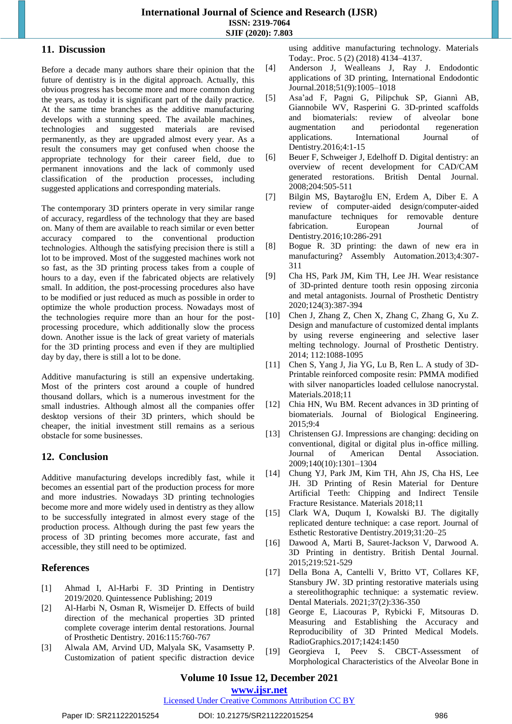#### **11. Discussion**

Before a decade many authors share their opinion that the future of dentistry is in the digital approach. Actually, this obvious progress has become more and more common during the years, as today it is significant part of the daily practice. At the same time branches as the additive manufacturing develops with a stunning speed. The available machines, technologies and suggested materials are revised permanently, as they are upgraded almost every year. As a result the consumers may get confused when choose the appropriate technology for their career field, due to permanent innovations and the lack of commonly used classification of the production processes, including suggested applications and corresponding materials.

The contemporary 3D printers operate in very similar range of accuracy, regardless of the technology that they are based on. Many of them are available to reach similar or even better accuracy compared to the conventional production technologies. Although the satisfying precision there is still а lot to be improved. Most of the suggested machines work not so fast, as the 3D printing process takes from a couple of hours to a day, even if the fabricated objects are relatively small. In addition, the post-processing procedures also have to be modified or just reduced as much as possible in order to optimize the whole production process. Nowadays most of the technologies require more than an hour for the postprocessing procedure, which additionally slow the process down. Another issue is the lack of great variety of materials for the 3D printing process and even if they are multiplied day by day, there is still a lot to be done.

Additive manufacturing is still an expensive undertaking. Most of the printers cost around a couple of hundred thousand dollars, which is a numerous investment for the small industries. Although almost all the companies offer desktop versions of their 3D printers, which should be cheaper, the initial investment still remains as a serious obstacle for some businesses.

## **12. Conclusion**

Additive manufacturing develops incredibly fast, while it becomes an essential part of the production process for more and more industries. Nowadays 3D printing technologies become more and more widely used in dentistry as they allow to be successfully integrated in almost every stage of the production process. Although during the past few years the process of 3D printing becomes more accurate, fast and accessible, they still need to be optimized.

## **References**

- [1] Ahmad I, Al-Harbi F. 3D Printing in Dentistry 2019/2020. Quintessence Publishing; 2019
- [2] Al-Harbi N, Osman R, Wismeijer D. Effects of build direction of the mechanical properties 3D printed complete coverage interim dental restorations. Journal of Prosthetic Dentistry. 2016:115:760-767
- [3] Alwala AM, Arvind UD, Malyala SK, Vasamsetty P. Customization of patient specific distraction device

using additive manufacturing technology. Materials Today:. Proc. 5 (2) (2018) 4134–4137.

- [4] Anderson J, Wealleans J, Ray J. Endodontic applications of 3D printing, International Endodontic Journal.2018;51(9):1005–1018
- [5] Asa'ad F, Pagni G, Pilipchuk SP, Giannì AB, Giannobile WV, Rasperini G. 3D-printed scaffolds and biomaterials: review of alveolar bone augmentation and periodontal regeneration applications. International Journal of Dentistry.2016;4:1-15
- [6] Beuer F, Schweiger J, Edelhoff D. Digital dentistry: an overview of recent development for CAD/CAM generated restorations. British Dental Journal. 2008;204:505-511
- [7] Bilgin MS, Baytaroğlu EN, Erdem A, Diber E. A review of computer-aided design/computer-aided manufacture techniques for removable denture fabrication. European Journal of Dentistry.2016;10:286-291
- [8] Bogue R. 3D printing: the dawn of new era in manufacturing? Assembly Automation.2013;4:307- 311
- [9] Cha HS, Park JM, Kim TH, Lee JH. Wear resistance of 3D-printed denture tooth resin opposing zirconia and metal antagonists. Journal of Prosthetic Dentistry 2020;124(3):387-394
- [10] Chen J, Zhang Z, Chen X, Zhang C, Zhang G, Xu Z. Design and manufacture of customized dental implants by using reverse engineering and selective laser melting technology. Journal of Prosthetic Dentistry. 2014; 112:1088-1095
- [11] Chen S, Yang J, Jia YG, Lu B, Ren L. A study of 3D-Printable reinforced composite resin: PMMA modified with silver nanoparticles loaded cellulose nanocrystal. Materials.2018;11
- [12] Chia HN, Wu BM. Recent advances in 3D printing of biomaterials. Journal of Biological Engineering. 2015;9:4
- [13] Christensen GJ. Impressions are changing: deciding on conventional, digital or digital plus in-office milling. Journal of American Dental Association. 2009;140(10):1301–1304
- [14] Chung YJ, Park JM, Kim TH, Ahn JS, Cha HS, Lee JH. 3D Printing of Resin Material for Denture Artificial Teeth: Chipping and Indirect Tensile Fracture Resistance. Materials 2018;11
- [15] Clark WA, Duqum I, Kowalski BJ. The digitally replicated denture technique: a case report. Journal of Esthetic Restorative Dentistry.2019;31:20–25
- [16] Dawood A, Marti B, Sauret-Jackson V, Darwood A. 3D Printing in dentistry. British Dental Journal. 2015;219:521-529
- [17] Della Bona A, Cantelli V, Britto VT, Collares KF, Stansbury JW. 3D printing restorative materials using a stereolithographic technique: a systematic review. Dental Materials. 2021;37(2):336-350
- [18] George E, Liacouras P, Rybicki F, Mitsouras D. Measuring and Establishing the Accuracy and Reproducibility of 3D Printed Medical Models. RadioGraphics.2017;1424:1450
- [19] Georgieva I, Peev S. CBCT-Assessment of Morphological Characteristics of the Alveolar Bone in

**www.ijsr.net**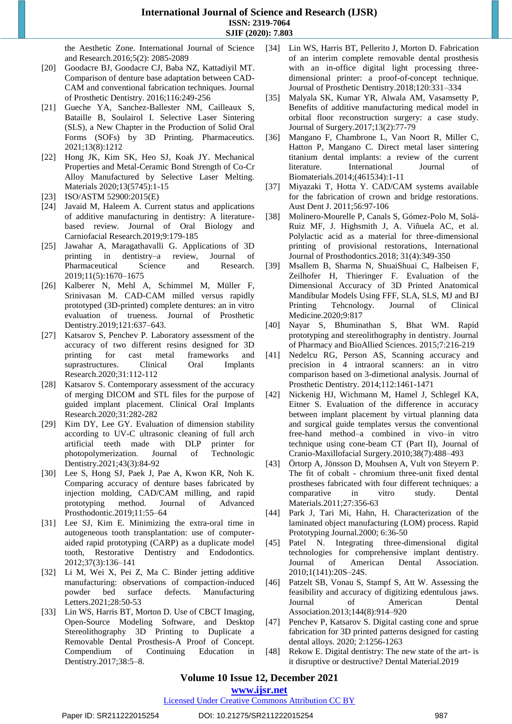the Aesthetic Zone. International Journal of Science and Research.2016;5(2): 2085-2089

- [20] Goodacre BJ, Goodacre CJ, Baba NZ, Kattadiyil MT. Comparison of denture base adaptation between CAD-CAM and conventional fabrication techniques. Journal of Prosthetic Dentistry. 2016;116:249-256
- [21] Gueche YA, Sanchez-Ballester NM, Cailleaux S, Bataille B, Soulairol I. Selective Laser Sintering (SLS), a New Chapter in the Production of Solid Oral Forms (SOFs) by 3D Printing. Pharmaceutics. 2021;13(8):1212
- [22] Hong JK, Kim SK, Heo SJ, Koak JY. Mechanical Properties and Metal-Ceramic Bond Strength of Co-Cr Alloy Manufactured by Selective Laser Melting. Materials 2020;13(5745):1-15
- [23] ISO/ASTM 52900:2015(E)
- [24] Javaid M, Haleem A. Current status and applications of additive manufacturing in dentistry: A literaturebased review. Journal of Oral Biology Carniofacial Research.2019;9:179-185
- [25] Jawahar A, Maragathavalli G. Applications of 3D printing in dentistry–a review, Journal of Pharmaceutical Science and Research. 2019;11(5):1670–1675
- [26] Kalberer N, Mehl A, Schimmel M, Müller F, Srinivasan M. CAD-CAM milled versus rapidly prototyped (3D-printed) complete dentures: an in vitro evaluation of trueness. Journal of Prosthetic Dentistry.2019;121:637–643.
- [27] Katsarov S, Penchev P. Laboratory assessment of the accuracy of two different resins designed for 3D printing for cast metal frameworks and suprastructures. Clinical Oral Implants Research.2020;31:112-112
- [28] Katsarov S. Contemporary assessment of the accuracy of merging DICOM and STL files for the purpose of guided implant placement. Clinical Oral Implants Research.2020;31:282-282
- [29] Kim DY, Lee GY. Evaluation of dimension stability according to UV-C ultrasonic cleaning of full arch artificial teeth made with DLP printer for photopolymerization. Journal of Technologic Dentistry.2021;43(3):84-92
- [30] Lee S, Hong SJ, Paek J, Pae A, Kwon KR, Noh K. Comparing accuracy of denture bases fabricated by injection molding, CAD/CAM milling, and rapid prototyping method. Journal of Advanced Prosthodontic.2019;11:55–64
- [31] Lee SJ, Kim E. Minimizing the extra-oral time in autogeneous tooth transplantation: use of computeraided rapid prototyping (CARP) as a duplicate model tooth, Restorative Dentistry and Endodontics. 2012;37(3):136–141
- [32] Li M, Wei X, Pei Z, Ma C. Binder jetting additive manufacturing: observations of compaction-induced powder bed surface defects. Manufacturing Letters.2021;28:50-53
- [33] Lin WS, Harris BT, Morton D. Use of CBCT Imaging, Open-Source Modeling Software, and Desktop Stereolithography 3D Printing to Duplicate a Removable Dental Prosthesis-A Proof of Concept. Compendium of Continuing Education in Dentistry.2017;38:5–8.
- [34] Lin WS, Harris BT, Pellerito J, Morton D. Fabrication of an interim complete removable dental prosthesis with an in-office digital light processing threedimensional printer: a proof-of-concept technique. Journal of Prosthetic Dentistry.2018;120:331–334
- [35] Malyala SK, Kumar YR, Alwala AM, Vasamsetty P, Benefits of additive manufacturing medical model in orbital floor reconstruction surgery: a case study. Journal of Surgery.2017;13(2):77-79
- [36] Mangano F, Chambrone L, Van Noort R, Miller C, Hatton P, Mangano C. Direct metal laser sintering titanium dental implants: a review of the current literature. International Journal of Biomaterials.2014;(461534):1-11
- [37] Miyazaki T, Hotta Y. CAD/CAM systems available for the fabrication of crown and bridge restorations. Aust Dent J. 2011;56:97-106
- [38] Molinero-Mourelle P, Canals S, Gómez-Polo M, Solá-Ruiz MF, J. Highsmith J, A. Viñuela AC, et al. Polylactic acid as a material for three-dimensional printing of provisional restorations, International Journal of Prosthodontics.2018; 31(4):349-350
- [39] Msallem B, Sharma N, ShuaiShuai C, Halbeisen F, Zeilhofer H, Thieringer F. Evaluation of the Dimensional Accuracy of 3D Printed Anatomical Mandibular Models Using FFF, SLA, SLS, MJ and BJ Printing Tehcnology. Journal of Clinical Medicine.2020;9:817
- [40] Nayar S, Bhuminathan S, Bhat WM. Rapid prototyping and stereolithography in dentistry. Journal of Pharmacy and BioAllied Sciences. 2015;7:216-219
- [41] Nedelcu RG, Person AS, Scanning accuracy and precision in 4 intraoral scanners: an in vitro comparison based on 3-dimetional analysis. Journal of Prosthetic Dentistry. 2014;112:1461-1471
- [42] Nickenig HJ, Wichmann M, Hamel J, Schlegel KA, Eitner S. Evaluation of the difference in accuracy between implant placement by virtual planning data and surgical guide templates versus the conventional free-hand method–a combined in vivo–in vitro technique using cone-beam CT (Part II), Journal of Cranio-Maxillofacial Surgery.2010;38(7):488–493
- [43] Örtorp A, Jönsson D, Mouhsen A, Vult von Steyern P. The fit of cobalt - chromium three-unit fixed dental prostheses fabricated with four different techniques: a comparative in vitro study. Dental Materials.2011;27:356-63
- [44] Park J, Tari Mi, Hahn, H. Characterization of the laminated object manufacturing (LOM) process. Rapid Prototyping Journal.2000; 6:36-50
- [45] Patel N. Integrating three-dimensional digital technologies for comprehensive implant dentistry. Journal of American Dental Association. 2010;1(141):20S–24S.
- [46] Patzelt SB, Vonau S, Stampf S, Att W. Assessing the feasibility and accuracy of digitizing edentulous jaws. Journal of American Dental Association.2013;144(8):914–920
- [47] Penchev P, Katsarov S. Digital casting cone and sprue fabrication for 3D printed patterns designed for casting dental alloys. 2020; 2:1256-1263
- [48] Rekow E. Digital dentistry: The new state of the art- is it disruptive or destructive? Dental Material.2019

## **Volume 10 Issue 12, December 2021**

**www.ijsr.net**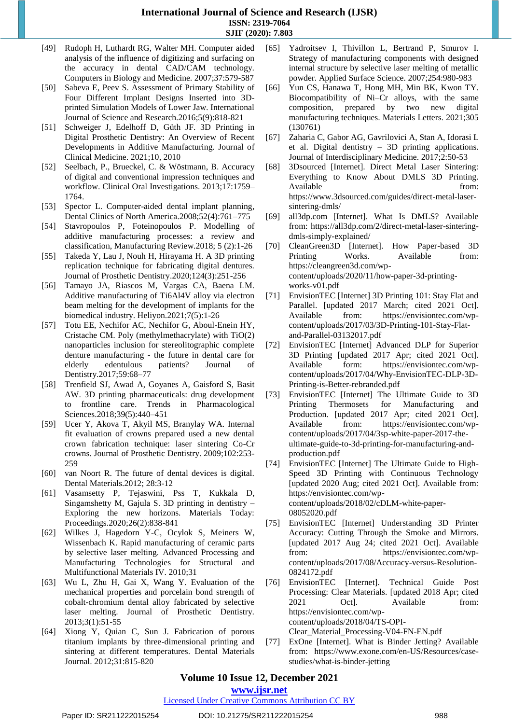- [49] Rudoph H, Luthardt RG, Walter MH. Computer aided analysis of the influence of digitizing and surfacing on the accuracy in dental CAD/CAM technology. Computers in Biology and Medicine. 2007;37:579-587
- [50] Sabeva E, Peev S. Assessment of Primary Stability of Four Different Implant Designs Inserted into 3Dprinted Simulation Models of Lower Jaw. International Journal of Science and Research.2016;5(9):818-821
- [51] Schweiger J, Edelhoff D, Güth JF. 3D Printing in Digital Prosthetic Dentistry: An Overview of Recent Developments in Additive Manufacturing. Journal of Clinical Medicine. 2021;10, 2010
- [52] Seelbach, P., Brueckel, C. & Wöstmann, B. Accuracy of digital and conventional impression techniques and workflow. Clinical Oral Investigations. 2013;17:1759– 1764.
- [53] Spector L. Computer-aided dental implant planning, Dental Clinics of North America.2008;52(4):761–775
- [54] Stavropoulos P, Foteinopoulos P. Modelling of additive manufacturing processes: a review and classification, Manufacturing Review.2018; 5 (2):1-26
- [55] Takeda Y, Lau J, Nouh H, Hirayama H. A 3D printing replication technique for fabricating digital dentures. Journal of Prosthetic Dentistry.2020;124(3):251-256
- [56] Tamayo JA, Riascos M, Vargas CA, Baena LM. Additive manufacturing of Ti6Al4V alloy via electron beam melting for the development of implants for the biomedical industry. Heliyon.2021;7(5):1-26
- [57] Totu EE, Nechifor AC, Nechifor G, Aboul-Enein HY, Cristache CM. Poly (methylmethacrylate) with TiO(2) nanoparticles inclusion for stereolitographic complete denture manufacturing - the future in dental care for elderly edentulous patients? Journal of Dentistry.2017;59:68–77
- [58] Trenfield SJ, Awad A, Goyanes A, Gaisford S, Basit AW. 3D printing pharmaceuticals: drug development to frontline care. Trends in Pharmacological Sciences.2018;39(5):440–451
- [59] Ucer Y, Akova T, Akyil MS, Branylay WA. Internal fit evaluation of crowns prepared used a new dental crown fabrication technique: laser sintering Co-Cr crowns. Journal of Prosthetic Dentistry. 2009;102:253- 259
- [60] van Noort R. The future of dental devices is digital. Dental Materials.2012; 28:3-12
- [61] Vasamsetty P, Tejaswini, Pss T, Kukkala D, Singamshetty M, Gajula S. 3D printing in dentistry – Exploring the new horizons. Materials Today: Proceedings.2020;26(2):838-841
- [62] Wilkes J, Hagedorn Y-C, Ocylok S, Meiners W, Wissenbach K. Rapid manufacturing of ceramic parts by selective laser melting. Advanced Processing and Manufacturing Technologies for Structural and Multifunctional Materials IV. 2010;31
- [63] Wu L, Zhu H, Gai X, Wang Y. Evaluation of the mechanical properties and porcelain bond strength of cobalt-chromium dental alloy fabricated by selective laser melting. Journal of Prosthetic Dentistry. 2013;3(1):51-55
- [64] Xiong Y, Quian C, Sun J. Fabrication of porous titanium implants by three-dimensional printing and sintering at different temperatures. Dental Materials Journal. 2012;31:815-820
- [65] Yadroitsev I, Thivillon L, Bertrand P, Smurov I. Strategy of manufacturing components with designed internal structure by selective laser melting of metallic powder. Applied Surface Science. 2007;254:980-983
- [66] Yun CS, Hanawa T, Hong MH, Min BK, Kwon TY. Biocompatibility of Ni–Cr alloys, with the same composition, prepared by two new digital manufacturing techniques. Materials Letters. 2021;305 (130761)
- [67] Zaharia C, Gabor AG, Gavrilovici A, Stan A, Idorasi L et al. Digital dentistry – 3D printing applications. Journal of Interdisciplinary Medicine. 2017;2:50-53
- [68] 3Dsourced [Internet]. Direct Metal Laser Sintering: Everything to Know About DMLS 3D Printing. Available from: https://www.3dsourced.com/guides/direct-metal-lasersintering-dmls/
- [69] all3dp.com [Internet]. What Is DMLS? Available from: https://all3dp.com/2/direct-metal-laser-sinteringdmls-simply-explained/
- [70] CleanGreen3D [Internet]. How Paper-based 3D Printing Works. Available from: https://cleangreen3d.com/wpcontent/uploads/2020/11/how-paper-3d-printingworks-v01.pdf
- [71] EnvisionTEC [Internet] 3D Printing 101: Stay Flat and Parallel. [updated 2017 March; cited 2021 Oct]. Available from: https://envisiontec.com/wpcontent/uploads/2017/03/3D-Printing-101-Stay-Flatand-Parallel-03132017.pdf
- [72] EnvisionTEC [Internet] Advanced DLP for Superior 3D Printing [updated 2017 Apr; cited 2021 Oct]. Available form: https://envisiontec.com/wpcontent/uploads/2017/04/Why-EnvisionTEC-DLP-3D-Printing-is-Better-rebranded.pdf
- [73] EnvisionTEC [Internet] The Ultimate Guide to 3D Printing Thermosets for Manufacturing and Production. [updated 2017 Apr; cited 2021 Oct]. Available from: https://envisiontec.com/wpcontent/uploads/2017/04/3sp-white-paper-2017-theultimate-guide-to-3d-printing-for-manufacturing-andproduction.pdf
- [74] EnvisionTEC [Internet] The Ultimate Guide to High-Speed 3D Printing with Continuous Technology [updated 2020 Aug; cited 2021 Oct]. Available from: https://envisiontec.com/wpcontent/uploads/2018/02/cDLM-white-paper-08052020.pdf
- [75] EnvisionTEC [Internet] Understanding 3D Printer Accuracy: Cutting Through the Smoke and Mirrors. [updated 2017 Aug 24; cited 2021 Oct]. Available from: https://envisiontec.com/wpcontent/uploads/2017/08/Accuracy-versus-Resolution-0824172.pdf
- [76] EnvisionTEC [Internet]. Technical Guide Post Processing: Clear Materials. [updated 2018 Apr; cited 2021 Oct]. Available from: https://envisiontec.com/wpcontent/uploads/2018/04/TS-OPI-Clear\_Material\_Processing-V04-FN-EN.pdf
- [77] ExOne [Internet]. What is Binder Jetting? Available from: https://www.exone.com/en-US/Resources/casestudies/what-is-binder-jetting

## **Volume 10 Issue 12, December 2021**

**www.ijsr.net**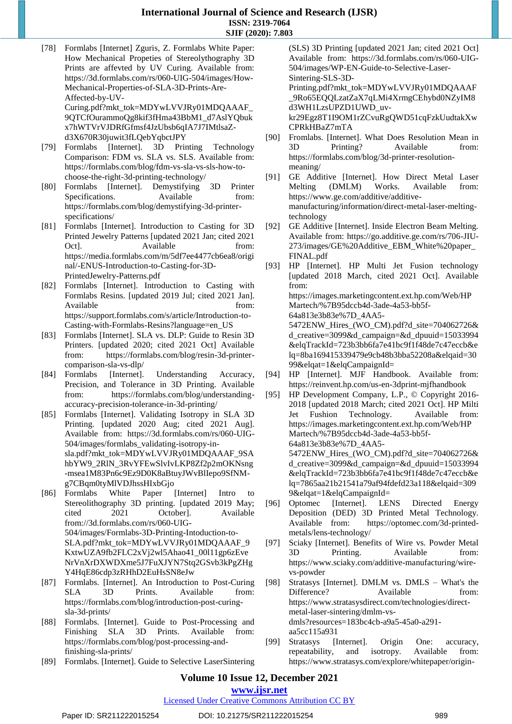- [78] Formlabs [Internet] Zguris, Z. Formlabs White Paper: How Mechanical Propeties of Stereolythography 3D Prints are affevted by UV Curing. Available from: https://3d.formlabs.com/rs/060-UIG-504/images/How-Mechanical-Properties-of-SLA-3D-Prints-Are-Affected-by-UV-Curing.pdf?mkt\_tok=MDYwLVVJRy01MDQAAAF\_ 9QTCfOurammoQg8kif3fHma43BbM1\_d7AslYQbuk x7hWTVrVJDRfGfmsf4JzUbsb6qIA7J7IMtlsaZd3X670R30juwit3fLQebYqbctJPY
- [79] Formlabs [Internet]. 3D Printing Technology Comparison: FDM vs. SLA vs. SLS. Available from: https://formlabs.com/blog/fdm-vs-sla-vs-sls-how-tochoose-the-right-3d-printing-technology/
- [80] Formlabs [Internet]. Demystifying 3D Printer Specifications. Available from: https://formlabs.com/blog/demystifying-3d-printerspecifications/
- [81] Formlabs [Internet]. Introduction to Casting for 3D Printed Jewelry Patterns [updated 2021 Jan; cited 2021 Oct]. Available from: https://media.formlabs.com/m/5df7ee4477cb6ea8/origi nal/-ENUS-Introduction-to-Casting-for-3D-PrintedJewelry-Patterns.pdf
- [82] Formlabs [Internet]. Introduction to Casting with Formlabs Resins. [updated 2019 Jul; cited 2021 Jan]. Available from: https://support.formlabs.com/s/article/Introduction-to-Casting-with-Formlabs-Resins?language=en\_US
- [83] Formlabs [Internet]. SLA vs. DLP: Guide to Resin 3D Printers. [updated 2020; cited 2021 Oct] Available from: https://formlabs.com/blog/resin-3d-printercomparison-sla-vs-dlp/
- [84] Formlabs [Internet]. Understanding Accuracy, Precision, and Tolerance in 3D Printing. Available from: https://formlabs.com/blog/understandingaccuracy-precision-tolerance-in-3d-printing/
- [85] Formlabs [Internet]. Validating Isotropy in SLA 3D Printing. [updated 2020 Aug; cited 2021 Aug]. Available from: https://3d.formlabs.com/rs/060-UIG-504/images/formlabs\_validating-isotropy-insla.pdf?mkt\_tok=MDYwLVVJRy01MDQAAAF\_9SA hbYW9\_2RlN\_3RvYFEwSlvIvLKP8Zf2p2mOKNsng -msea1M83Pn6c9Ez9D0K8aBtuyJWvBlIepo9SfNMg7CBqm0tyMlVDJhssHIxbGjo
- [86] Formlabs White Paper [Internet] Intro to Stereolithography 3D printing. [updated 2019 May; cited 2021 October]. Available from://3d.formlabs.com/rs/060-UIG-504/images/Formlabs-3D-Printing-Intoduction-to-SLA.pdf?mkt\_tok=MDYwLVVJRy01MDQAAAF\_9 KxtwUZA9fb2FLC2xVj2wl5Ahao41\_00l11gp6zEve NrVnXrDXWDXme5J7FuXJYN7Stq2GSvb3kPgZHg Y4HqE86cdp3zRHhD2EuHsSN8eJw
- [87] Formlabs. [Internet]. An Introduction to Post-Curing SLA 3D Prints. Available from: https://formlabs.com/blog/introduction-post-curingsla-3d-prints/
- [88] Formlabs. [Internet]. Guide to Post-Processing and Finishing SLA 3D Prints. Available from: https://formlabs.com/blog/post-processing-andfinishing-sla-prints/
- [89] Formlabs. [Internet]. Guide to Selective LaserSintering

(SLS) 3D Printing [updated 2021 Jan; cited 2021 Oct] Available from: https://3d.formlabs.com/rs/060-UIG-504/images/WP-EN-Guide-to-Selective-Laser-Sintering-SLS-3D-

Printing.pdf?mkt\_tok=MDYwLVVJRy01MDQAAAF \_9Ro65EQQLzatZaX7qLMi4XrmgCEhybd0NZyIM8 d3WH1LzsUPZD1UWD\_uv-

kr29Egz8T1I9OM1rZCvuRgQWD51cqFzkUudtakXw CPRkHBaZ7mTA

- [90] Fromlabs. [Internet]. What Does Resolution Mean in 3D Printing? Available from: https://formlabs.com/blog/3d-printer-resolutionmeaning/
- [91] GE Additive [Internet]. How Direct Metal Laser Melting (DMLM) Works. Available from: https://www.ge.com/additive/additivemanufacturing/information/direct-metal-laser-meltingtechnology
- [92] GE Additive [Internet]. Inside Electron Beam Melting. Available from: https://go.additive.ge.com/rs/706-JIU-273/images/GE%20Additive\_EBM\_White%20paper\_ FINAL.pdf
- [93] HP [Internet]. HP Multi Jet Fusion technology [updated 2018 March, cited 2021 Oct]. Available from: https://images.marketingcontent.ext.hp.com/Web/HP Martech/%7B95dccb4d-3ade-4a53-bb5f-64a813e3b83e%7D\_4AA5- 5472ENW\_Hires\_(WO\_CM).pdf?d\_site=704062726& d\_creative=3099&d\_campaign=&d\_dpuuid=15033994 &elqTrackId=723b3bb6fa7e41bc9f1f48de7c47eccb&e lq=8ba169415339479e9cb48b3bba52208a&elqaid=30 99&elqat=1&elqCampaignId= [94] HP [Internet]. MJF Handbook. Available from:
- https://reinvent.hp.com/us-en-3dprint-mjfhandbook
- [95] HP Development Company, L.P., © Copyright 2016- 2018 [updated 2018 March; cited 2021 Oct]. HP Milti Jet Fushion Technology. Available from: https://images.marketingcontent.ext.hp.com/Web/HP Martech/%7B95dccb4d-3ade-4a53-bb5f-64a813e3b83e%7D\_4AA5- 5472ENW\_Hires\_(WO\_CM).pdf?d\_site=704062726& d\_creative=3099&d\_campaign=&d\_dpuuid=15033994 &elqTrackId=723b3bb6fa7e41bc9f1f48de7c47eccb&e

lq=7865aa21b21541a79af94fdefd23a118&elqaid=309 9&elqat=1&elqCampaignId=

- [96] Optomec [Internet]. LENS Directed Energy Deposition (DED) 3D Printed Metal Technology. Available from: https://optomec.com/3d-printedmetals/lens-technology/
- [97] Sciaky [Internet]. Benefits of Wire vs. Powder Metal 3D Printing. Available from: https://www.sciaky.com/additive-manufacturing/wirevs-powder
- [98] Stratasys [Internet]. DMLM vs. DMLS What's the Difference? Available from: https://www.stratasysdirect.com/technologies/directmetal-laser-sintering/dmlm-vsdmls?resources=183bc4cb-a9a5-45a0-a291 aa5cc115a931
- [99] Stratasys [Internet]. Origin One: accuracy, repeatability, and isotropy. Available from: https://www.stratasys.com/explore/whitepaper/origin-

## **Volume 10 Issue 12, December 2021**

#### **www.ijsr.net**